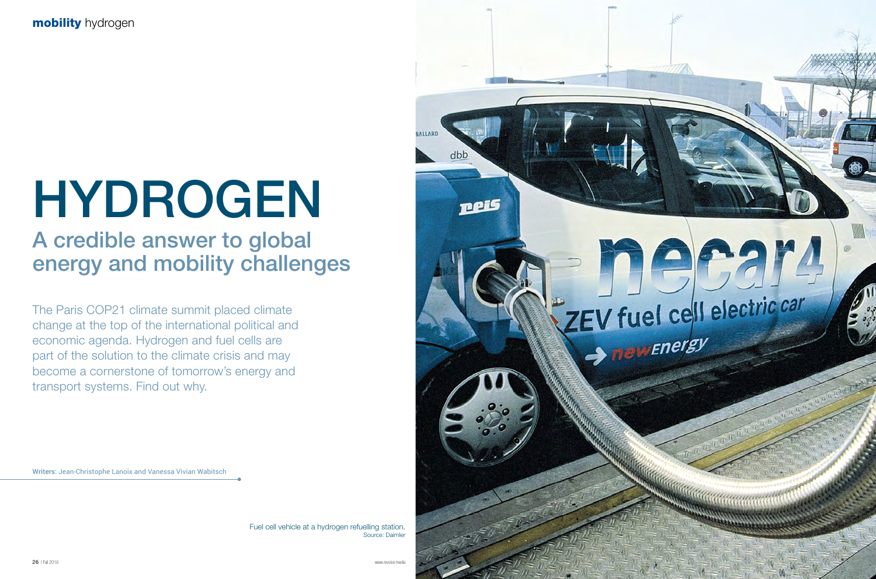

The Paris COP21 climate summit placed climate change at the top of the international political and economic agenda. Hydrogen and fuel cells are part of the solution to the climate crisis and may become a cornerstone of tomorrow's energy and transport systems. Find out why.

## A credible answer to global energy and mobility challenges

Writers: Jean-Christophe Lanoix and Vanessa Vivian Wabitsch

# HYDROGEN

Fuel cell vehicle at a hydrogen refuelling station. Source: Daimler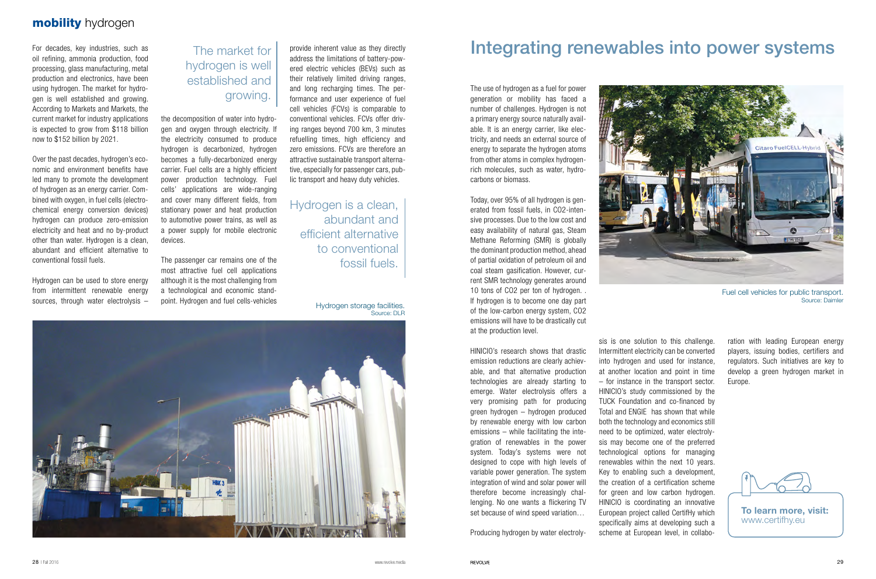#### mobility hydrogen

For decades, key industries, such as oil refining, ammonia production, food processing, glass manufacturing, metal production and electronics, have been using hydrogen. The market for hydrogen is well established and growing. According to Markets and Markets, the current market for industry applications is expected to grow from \$118 billion now to \$152 billion by 2021.

Over the past decades, hydrogen's economic and environment benefits have led many to promote the development of hydrogen as an energy carrier. Combined with oxygen, in fuel cells (electrochemical energy conversion devices) hydrogen can produce zero-emission electricity and heat and no by-product other than water. Hydrogen is a clean, abundant and efficient alternative to conventional fossil fuels.

Hydrogen can be used to store energy from intermittent renewable energy sources, through water electrolysis –

The use of hydrogen as a fuel for power generation or mobility has faced a number of challenges. Hydrogen is not a primary energy source naturally available. It is an energy carrier, like electricity, and needs an external source of energy to separate the hydrogen atoms from other atoms in complex hydrogenrich molecules, such as water, hydrocarbons or biomass.

Today, over 95% of all hydrogen is generated from fossil fuels, in CO2-intensive processes. Due to the low cost and easy availability of natural gas, Steam Methane Reforming (SMR) is globally the dominant production method, ahead of partial oxidation of petroleum oil and coal steam gasification. However, current SMR technology generates around 10 tons of CO2 per ton of hydrogen. . If hydrogen is to become one day part of the low-carbon energy system, CO2 emissions will have to be drastically cut at the production level.

HINICIO's research shows that drastic emission reductions are clearly achievable, and that alternative production technologies are already starting to emerge. Water electrolysis offers a very promising path for producing green hydrogen – hydrogen produced by renewable energy with low carbon emissions – while facilitating the integration of renewables in the power system. Today's systems were not designed to cope with high levels of variable power generation. The system integration of wind and solar power will therefore become increasingly challenging. No one wants a flickering TV set because of wind speed variation…

Producing hydrogen by water electroly-



the decomposition of water into hydrogen and oxygen through electricity. If the electricity consumed to produce hydrogen is decarbonized, hydrogen becomes a fully-decarbonized energy carrier. Fuel cells are a highly efficient power production technology. Fuel cells' applications are wide-ranging and cover many different fields, from stationary power and heat production to automotive power trains, as well as a power supply for mobile electronic devices.

The passenger car remains one of the most attractive fuel cell applications although it is the most challenging from a technological and economic standpoint. Hydrogen and fuel cells-vehicles

Hydrogen is a clean, abundant and efficient alternative to conventional fossil fuels.

### The market for hydrogen is well established and growing.

ered electric vehicles (BEVs) such as their relatively limited driving ranges, and long recharging times. The performance and user experience of fuel cell vehicles (FCVs) is comparable to conventional vehicles. FCVs offer driving ranges beyond 700 km, 3 minutes refuelling times, high efficiency and zero emissions. FCVs are therefore an attractive sustainable transport alternative, especially for passenger cars, public transport and heavy duty vehicles.

> sis is one solution to this challenge. Intermittent electricity can be converted into hydrogen and used for instance, at another location and point in time – for instance in the transport sector. HINICIO's study commissioned by the TUCK Foundation and co-financed by Total and ENGIE has shown that while both the technology and economics still need to be optimized, water electrolysis may become one of the preferred technological options for managing renewables within the next 10 years. Key to enabling such a development, the creation of a certification scheme for green and low carbon hydrogen. HINICIO is coordinating an innovative European project called CertifHy which specifically aims at developing such a scheme at European level, in collabo-

ration with leading European energy players, issuing bodies, certifiers and regulators. Such initiatives are key to develop a green hydrogen market in Europe.



To learn more, visit: www.certifhy.eu

Hydrogen storage facilities. Source: DLR



## provide inherent value as they directly **Integrating renewables into power systems**

Fuel cell vehicles for public transport. Source: Daimler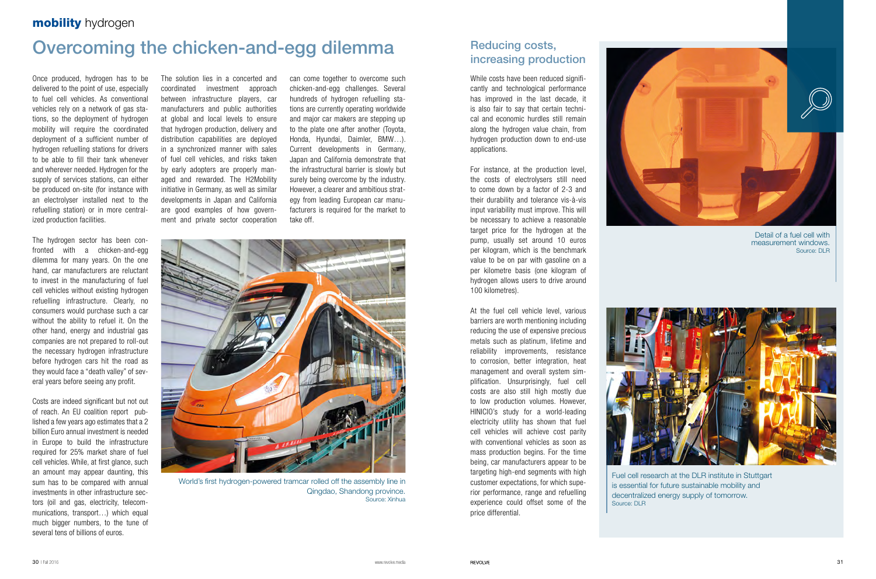Once produced, hydrogen has to be delivered to the point of use, especially to fuel cell vehicles. As conventional vehicles rely on a network of gas stations, so the deployment of hydrogen mobility will require the coordinated deployment of a sufficient number of hydrogen refuelling stations for drivers to be able to fill their tank whenever and wherever needed. Hydrogen for the supply of services stations, can either be produced on-site (for instance with an electrolyser installed next to the refuelling station) or in more centralized production facilities.

The hydrogen sector has been confronted with a chicken-and-egg dilemma for many years. On the one hand, car manufacturers are reluctant to invest in the manufacturing of fuel cell vehicles without existing hydrogen refuelling infrastructure. Clearly, no consumers would purchase such a car without the ability to refuel it. On the other hand, energy and industrial gas companies are not prepared to roll-out the necessary hydrogen infrastructure before hydrogen cars hit the road as they would face a "death valley" of several years before seeing any profit.

Costs are indeed significant but not out of reach. An EU coalition report published a few years ago estimates that a 2 billion Euro annual investment is needed in Europe to build the infrastructure required for 25% market share of fuel cell vehicles. While, at first glance, such an amount may appear daunting, this sum has to be compared with annual investments in other infrastructure sectors (oil and gas, electricity, telecommunications, transport…) which equal much bigger numbers, to the tune of several tens of billions of euros.

While costs have been reduced significantly and technological performance has improved in the last decade, it is also fair to say that certain technical and economic hurdles still remain along the hydrogen value chain, from hydrogen production down to end-use applications.

#### mobility hydrogen

## Overcoming the chicken-and-egg dilemma

The solution lies in a concerted and coordinated investment approach between infrastructure players, car manufacturers and public authorities at global and local levels to ensure that hydrogen production, delivery and distribution capabilities are deployed in a synchronized manner with sales of fuel cell vehicles, and risks taken by early adopters are properly managed and rewarded. The H2Mobility initiative in Germany, as well as similar developments in Japan and California are good examples of how government and private sector cooperation



Fuel cell research at the DLR institute in Stuttgart is essential for future sustainable mobility and decentralized energy supply of tomorrow. Source: DLR

can come together to overcome such chicken-and-egg challenges. Several hundreds of hydrogen refuelling stations are currently operating worldwide and major car makers are stepping up to the plate one after another (Toyota, Honda, Hyundai, Daimler, BMW…). Current developments in Germany, Japan and California demonstrate that the infrastructural barrier is slowly but surely being overcome by the industry. However, a clearer and ambitious strategy from leading European car manufacturers is required for the market to take off.



World's first hydrogen-powered tramcar rolled off the assembly line in Qingdao, Shandong province. Source: Xinhua

For instance, at the production level, the costs of electrolysers still need to come down by a factor of 2-3 and their durability and tolerance vis-à-vis input variability must improve. This will be necessary to achieve a reasonable target price for the hydrogen at the pump, usually set around 10 euros per kilogram, which is the benchmark value to be on par with gasoline on a per kilometre basis (one kilogram of hydrogen allows users to drive around 100 kilometres).

At the fuel cell vehicle level, various barriers are worth mentioning including reducing the use of expensive precious metals such as platinum, lifetime and reliability improvements, resistance to corrosion, better integration, heat management and overall system simplification. Unsurprisingly, fuel cell costs are also still high mostly due to low production volumes. However, HINICIO's study for a world-leading electricity utility has shown that fuel cell vehicles will achieve cost parity with conventional vehicles as soon as mass production begins. For the time being, car manufacturers appear to be targeting high-end segments with high customer expectations, for which superior performance, range and refuelling experience could offset some of the price differential.



#### Reducing costs, increasing production

Detail of a fuel cell with measurement windows. Source: DLR